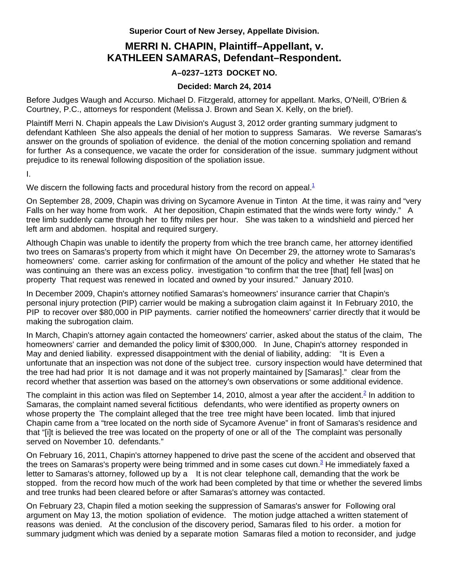**Superior Court of New Jersey, Appellate Division.** 

## **MERRI N. CHAPIN, Plaintiff–Appellant, v. KATHLEEN SAMARAS, Defendant–Respondent.**

## **A–0237–12T3 DOCKET NO.**

## **Decided: March 24, 2014**

Before Judges Waugh and Accurso. Michael D. Fitzgerald, attorney for appellant. Marks, O'Neill, O'Brien & Courtney, P.C., attorneys for respondent (Melissa J. Brown and Sean X. Kelly, on the brief).

Plaintiff Merri N. Chapin appeals the Law Division's August 3, 2012 order granting summary judgment to defendant Kathleen She also appeals the denial of her motion to suppress Samaras. We reverse Samaras's answer on the grounds of spoliation of evidence. the denial of the motion concerning spoliation and remand for further As a consequence, we vacate the order for consideration of the issue. summary judgment without prejudice to its renewal following disposition of the spoliation issue.

I.

We discern the following facts and procedural history from the record on appeal. $^1$ 

On September 28, 2009, Chapin was driving on Sycamore Avenue in Tinton At the time, it was rainy and "very Falls on her way home from work. At her deposition, Chapin estimated that the winds were forty windy." A tree limb suddenly came through her to fifty miles per hour. She was taken to a windshield and pierced her left arm and abdomen. hospital and required surgery.

Although Chapin was unable to identify the property from which the tree branch came, her attorney identified two trees on Samaras's property from which it might have On December 29, the attorney wrote to Samaras's homeowners' come. carrier asking for confirmation of the amount of the policy and whether He stated that he was continuing an there was an excess policy. investigation "to confirm that the tree [that] fell [was] on property That request was renewed in located and owned by your insured." January 2010.

In December 2009, Chapin's attorney notified Samaras's homeowners' insurance carrier that Chapin's personal injury protection (PIP) carrier would be making a subrogation claim against it In February 2010, the PIP to recover over \$80,000 in PIP payments. carrier notified the homeowners' carrier directly that it would be making the subrogation claim.

In March, Chapin's attorney again contacted the homeowners' carrier, asked about the status of the claim, The homeowners' carrier and demanded the policy limit of \$300,000. In June, Chapin's attorney responded in May and denied liability. expressed disappointment with the denial of liability, adding: "It is Even a unfortunate that an inspection was not done of the subject tree. cursory inspection would have determined that the tree had had prior It is not damage and it was not properly maintained by [Samaras]." clear from the record whether that assertion was based on the attorney's own observations or some additional evidence.

The complaint in this action was filed on September 14, 2010, almost a year after the accident.<sup>2</sup> In addition to Samaras, the complaint named several fictitious defendants, who were identified as property owners on whose property the The complaint alleged that the tree tree might have been located. limb that injured Chapin came from a "tree located on the north side of Sycamore Avenue" in front of Samaras's residence and that "[i]t is believed the tree was located on the property of one or all of the The complaint was personally served on November 10. defendants."

On February 16, 2011, Chapin's attorney happened to drive past the scene of the accident and observed that the trees on Samaras's property were being trimmed and in some cases cut down.<sup>3</sup> He immediately faxed a letter to Samaras's attorney, followed up by a It is not clear telephone call, demanding that the work be stopped. from the record how much of the work had been completed by that time or whether the severed limbs and tree trunks had been cleared before or after Samaras's attorney was contacted.

On February 23, Chapin filed a motion seeking the suppression of Samaras's answer for Following oral argument on May 13, the motion spoliation of evidence. The motion judge attached a written statement of reasons was denied. At the conclusion of the discovery period, Samaras filed to his order. a motion for summary judgment which was denied by a separate motion Samaras filed a motion to reconsider, and judge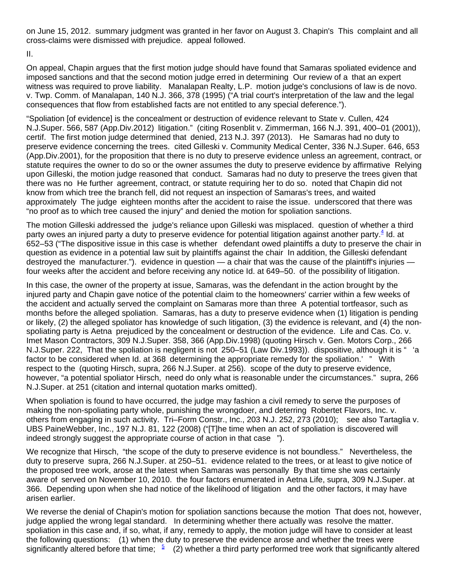on June 15, 2012. summary judgment was granted in her favor on August 3. Chapin's This complaint and all cross-claims were dismissed with prejudice. appeal followed.

II.

On appeal, Chapin argues that the first motion judge should have found that Samaras spoliated evidence and imposed sanctions and that the second motion judge erred in determining Our review of a that an expert witness was required to prove liability. Manalapan Realty, L.P. motion judge's conclusions of law is de novo. v. Twp. Comm. of Manalapan, 140 N.J. 366, 378 (1995) ("A trial court's interpretation of the law and the legal consequences that flow from established facts are not entitled to any special deference.").

"Spoliation [of evidence] is the concealment or destruction of evidence relevant to State v. Cullen, 424 N.J.Super. 566, 587 (App.Div.2012) litigation." (citing Rosenblit v. Zimmerman, 166 N.J. 391, 400–01 (2001)), certif. The first motion judge determined that denied, 213 N.J. 397 (2013). He Samaras had no duty to preserve evidence concerning the trees. cited Gilleski v. Community Medical Center, 336 N.J.Super. 646, 653 (App.Div.2001), for the proposition that there is no duty to preserve evidence unless an agreement, contract, or statute requires the owner to do so or the owner assumes the duty to preserve evidence by affirmative Relying upon Gilleski, the motion judge reasoned that conduct. Samaras had no duty to preserve the trees given that there was no He further agreement, contract, or statute requiring her to do so. noted that Chapin did not know from which tree the branch fell, did not request an inspection of Samaras's trees, and waited approximately The judge eighteen months after the accident to raise the issue. underscored that there was "no proof as to which tree caused the injury" and denied the motion for spoliation sanctions.

The motion Gilleski addressed the judge's reliance upon Gilleski was misplaced. question of whether a third party owes an injured party a duty to preserve evidence for potential litigation against another party.<sup>4</sup> Id. at 652–53 ("The dispositive issue in this case is whether defendant owed plaintiffs a duty to preserve the chair in question as evidence in a potential law suit by plaintiffs against the chair In addition, the Gilleski defendant destroyed the manufacturer."). evidence in question — a chair that was the cause of the plaintiff's injuries four weeks after the accident and before receiving any notice Id. at 649–50. of the possibility of litigation.

In this case, the owner of the property at issue, Samaras, was the defendant in the action brought by the injured party and Chapin gave notice of the potential claim to the homeowners' carrier within a few weeks of the accident and actually served the complaint on Samaras more than three A potential tortfeasor, such as months before the alleged spoliation. Samaras, has a duty to preserve evidence when (1) litigation is pending or likely, (2) the alleged spoliator has knowledge of such litigation, (3) the evidence is relevant, and (4) the nonspoliating party is Aetna prejudiced by the concealment or destruction of the evidence. Life and Cas. Co. v. Imet Mason Contractors, 309 N.J.Super. 358, 366 (App.Div.1998) (quoting Hirsch v. Gen. Motors Corp., 266 N.J.Super. 222, That the spoliation is negligent is not 250–51 (Law Div.1993)). dispositive, although it is " 'a factor to be considered when Id. at 368 determining the appropriate remedy for the spoliation.' " With respect to the (quoting Hirsch, supra, 266 N.J.Super. at 256). scope of the duty to preserve evidence, however, "a potential spoliator Hirsch, need do only what is reasonable under the circumstances." supra, 266 N.J.Super. at 251 (citation and internal quotation marks omitted).

When spoliation is found to have occurred, the judge may fashion a civil remedy to serve the purposes of making the non-spoliating party whole, punishing the wrongdoer, and deterring Robertet Flavors, Inc. v. others from engaging in such activity. Tri–Form Constr., Inc., 203 N.J. 252, 273 (2010); see also Tartaglia v. UBS PaineWebber, Inc., 197 N.J. 81, 122 (2008) ("[T]he time when an act of spoliation is discovered will indeed strongly suggest the appropriate course of action in that case ").

We recognize that Hirsch, "the scope of the duty to preserve evidence is not boundless." Nevertheless, the duty to preserve supra, 266 N.J.Super. at 250–51. evidence related to the trees, or at least to give notice of the proposed tree work, arose at the latest when Samaras was personally By that time she was certainly aware of served on November 10, 2010. the four factors enumerated in Aetna Life, supra, 309 N.J.Super. at 366. Depending upon when she had notice of the likelihood of litigation and the other factors, it may have arisen earlier.

We reverse the denial of Chapin's motion for spoliation sanctions because the motion That does not, however, judge applied the wrong legal standard. In determining whether there actually was resolve the matter. spoliation in this case and, if so, what, if any, remedy to apply, the motion judge will have to consider at least the following questions: (1) when the duty to preserve the evidence arose and whether the trees were significantly altered before that time;  $\frac{5}{2}$  (2) whether a third party performed tree work that significantly altered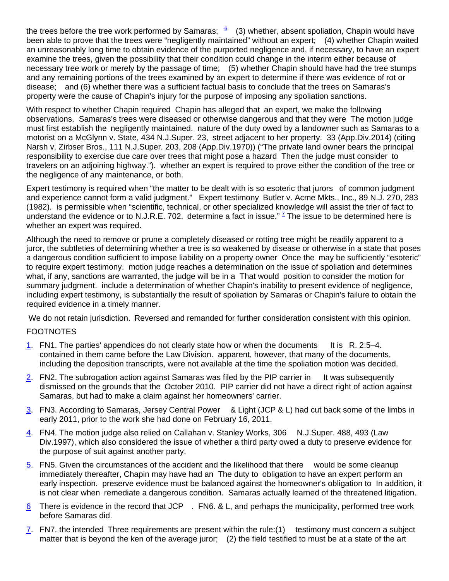the trees before the tree work performed by Samaras;  $\frac{6}{5}$  (3) whether, absent spoliation, Chapin would have been able to prove that the trees were "negligently maintained" without an expert; (4) whether Chapin waited an unreasonably long time to obtain evidence of the purported negligence and, if necessary, to have an expert examine the trees, given the possibility that their condition could change in the interim either because of necessary tree work or merely by the passage of time; (5) whether Chapin should have had the tree stumps and any remaining portions of the trees examined by an expert to determine if there was evidence of rot or disease; and (6) whether there was a sufficient factual basis to conclude that the trees on Samaras's property were the cause of Chapin's injury for the purpose of imposing any spoliation sanctions.

With respect to whether Chapin required Chapin has alleged that an expert, we make the following observations. Samaras's trees were diseased or otherwise dangerous and that they were The motion judge must first establish the negligently maintained. nature of the duty owed by a landowner such as Samaras to a motorist on a McGlynn v. State, 434 N.J.Super. 23, street adjacent to her property. 33 (App.Div.2014) (citing Narsh v. Zirbser Bros., 111 N.J.Super. 203, 208 (App.Div.1970)) ("The private land owner bears the principal responsibility to exercise due care over trees that might pose a hazard Then the judge must consider to travelers on an adjoining highway."). whether an expert is required to prove either the condition of the tree or the negligence of any maintenance, or both.

Expert testimony is required when "the matter to be dealt with is so esoteric that jurors of common judgment and experience cannot form a valid judgment." Expert testimony Butler v. Acme Mkts., Inc., 89 N.J. 270, 283 (1982). is permissible when "scientific, technical, or other specialized knowledge will assist the trier of fact to understand the evidence or to N.J.R.E. 702. determine a fact in issue."  $\frac{7}{5}$  The issue to be determined here is whether an expert was required.

Although the need to remove or prune a completely diseased or rotting tree might be readily apparent to a juror, the subtleties of determining whether a tree is so weakened by disease or otherwise in a state that poses a dangerous condition sufficient to impose liability on a property owner Once the may be sufficiently "esoteric" to require expert testimony. motion judge reaches a determination on the issue of spoliation and determines what, if any, sanctions are warranted, the judge will be in a That would position to consider the motion for summary judgment. include a determination of whether Chapin's inability to present evidence of negligence, including expert testimony, is substantially the result of spoliation by Samaras or Chapin's failure to obtain the required evidence in a timely manner.

We do not retain jurisdiction. Reversed and remanded for further consideration consistent with this opinion.

## **FOOTNOTES**

- 1. FN1. The parties' appendices do not clearly state how or when the documents It is R. 2:5–4. contained in them came before the Law Division. apparent, however, that many of the documents, including the deposition transcripts, were not available at the time the spoliation motion was decided.
- 2. FN2. The subrogation action against Samaras was filed by the PIP carrier in It was subsequently dismissed on the grounds that the October 2010. PIP carrier did not have a direct right of action against Samaras, but had to make a claim against her homeowners' carrier.
- 3. FN3. According to Samaras, Jersey Central Power & Light (JCP & L) had cut back some of the limbs in early 2011, prior to the work she had done on February 16, 2011.
- 4. FN4. The motion judge also relied on Callahan v. Stanley Works, 306 N.J.Super. 488, 493 (Law Div.1997), which also considered the issue of whether a third party owed a duty to preserve evidence for the purpose of suit against another party.
- 5. FN5. Given the circumstances of the accident and the likelihood that there would be some cleanup immediately thereafter, Chapin may have had an The duty to obligation to have an expert perform an early inspection. preserve evidence must be balanced against the homeowner's obligation to In addition, it is not clear when remediate a dangerous condition. Samaras actually learned of the threatened litigation.
- $6$  There is evidence in the record that JCP . FN6. & L, and perhaps the municipality, performed tree work before Samaras did.
- 7. FN7. the intended Three requirements are present within the rule:(1) testimony must concern a subject matter that is beyond the ken of the average juror; (2) the field testified to must be at a state of the art